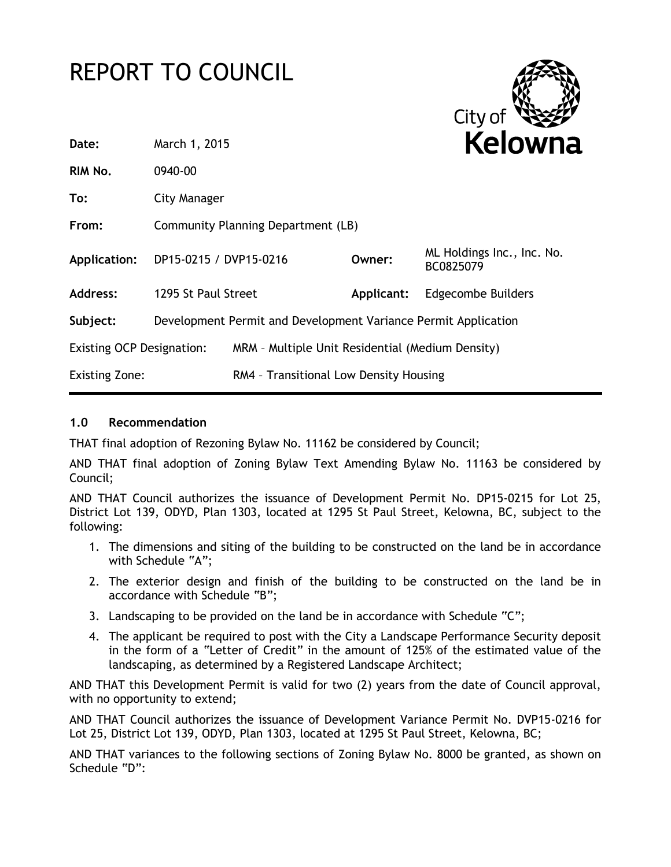# REPORT TO COUNCIL



| Date:                            | March 1, 2015                                                  |                                                  | <b>Kelowna</b> |                                         |
|----------------------------------|----------------------------------------------------------------|--------------------------------------------------|----------------|-----------------------------------------|
| RIM No.                          | 0940-00                                                        |                                                  |                |                                         |
| To:                              | City Manager                                                   |                                                  |                |                                         |
| From:                            | Community Planning Department (LB)                             |                                                  |                |                                         |
| Application:                     | DP15-0215 / DVP15-0216                                         |                                                  | Owner:         | ML Holdings Inc., Inc. No.<br>BC0825079 |
| Address:                         | 1295 St Paul Street                                            |                                                  | Applicant:     | <b>Edgecombe Builders</b>               |
| Subject:                         | Development Permit and Development Variance Permit Application |                                                  |                |                                         |
| <b>Existing OCP Designation:</b> |                                                                | MRM - Multiple Unit Residential (Medium Density) |                |                                         |
| <b>Existing Zone:</b>            |                                                                | RM4 - Transitional Low Density Housing           |                |                                         |
|                                  |                                                                |                                                  |                |                                         |

# **1.0 Recommendation**

THAT final adoption of Rezoning Bylaw No. 11162 be considered by Council;

AND THAT final adoption of Zoning Bylaw Text Amending Bylaw No. 11163 be considered by Council;

AND THAT Council authorizes the issuance of Development Permit No. DP15-0215 for Lot 25, District Lot 139, ODYD, Plan 1303, located at 1295 St Paul Street, Kelowna, BC, subject to the following:

- 1. The dimensions and siting of the building to be constructed on the land be in accordance with Schedule "A";
- 2. The exterior design and finish of the building to be constructed on the land be in accordance with Schedule "B";
- 3. Landscaping to be provided on the land be in accordance with Schedule "C";
- 4. The applicant be required to post with the City a Landscape Performance Security deposit in the form of a "Letter of Credit" in the amount of 125% of the estimated value of the landscaping, as determined by a Registered Landscape Architect;

AND THAT this Development Permit is valid for two (2) years from the date of Council approval, with no opportunity to extend;

AND THAT Council authorizes the issuance of Development Variance Permit No. DVP15-0216 for Lot 25, District Lot 139, ODYD, Plan 1303, located at 1295 St Paul Street, Kelowna, BC;

AND THAT variances to the following sections of Zoning Bylaw No. 8000 be granted, as shown on Schedule "D":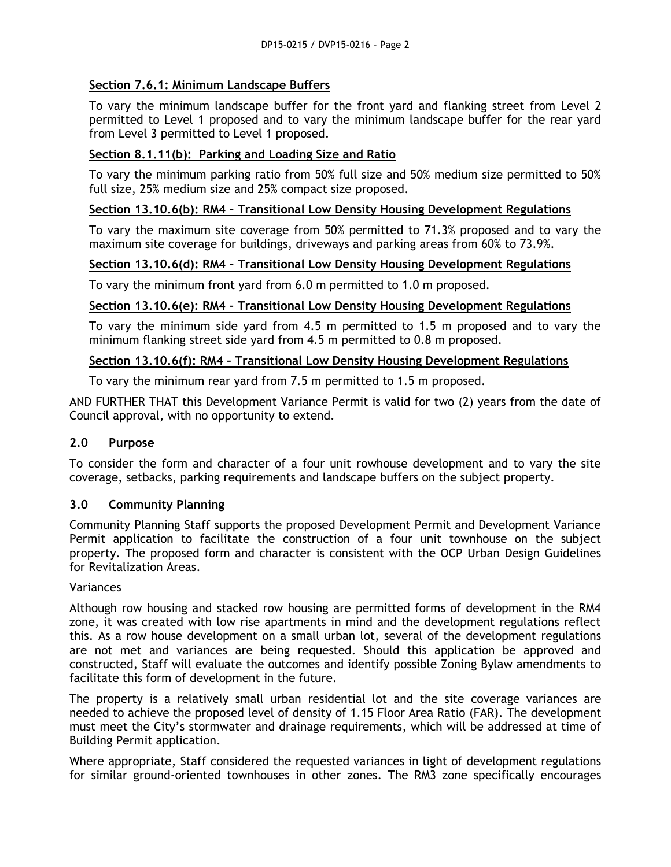# **Section 7.6.1: Minimum Landscape Buffers**

To vary the minimum landscape buffer for the front yard and flanking street from Level 2 permitted to Level 1 proposed and to vary the minimum landscape buffer for the rear yard from Level 3 permitted to Level 1 proposed.

# **Section 8.1.11(b): Parking and Loading Size and Ratio**

To vary the minimum parking ratio from 50% full size and 50% medium size permitted to 50% full size, 25% medium size and 25% compact size proposed.

# **Section 13.10.6(b): RM4 – Transitional Low Density Housing Development Regulations**

To vary the maximum site coverage from 50% permitted to 71.3% proposed and to vary the maximum site coverage for buildings, driveways and parking areas from 60% to 73.9%.

# **Section 13.10.6(d): RM4 – Transitional Low Density Housing Development Regulations**

To vary the minimum front yard from 6.0 m permitted to 1.0 m proposed.

# **Section 13.10.6(e): RM4 – Transitional Low Density Housing Development Regulations**

To vary the minimum side yard from 4.5 m permitted to 1.5 m proposed and to vary the minimum flanking street side yard from 4.5 m permitted to 0.8 m proposed.

# **Section 13.10.6(f): RM4 – Transitional Low Density Housing Development Regulations**

To vary the minimum rear yard from 7.5 m permitted to 1.5 m proposed.

AND FURTHER THAT this Development Variance Permit is valid for two (2) years from the date of Council approval, with no opportunity to extend.

# **2.0 Purpose**

To consider the form and character of a four unit rowhouse development and to vary the site coverage, setbacks, parking requirements and landscape buffers on the subject property.

# **3.0 Community Planning**

Community Planning Staff supports the proposed Development Permit and Development Variance Permit application to facilitate the construction of a four unit townhouse on the subject property. The proposed form and character is consistent with the OCP Urban Design Guidelines for Revitalization Areas.

# Variances

Although row housing and stacked row housing are permitted forms of development in the RM4 zone, it was created with low rise apartments in mind and the development regulations reflect this. As a row house development on a small urban lot, several of the development regulations are not met and variances are being requested. Should this application be approved and constructed, Staff will evaluate the outcomes and identify possible Zoning Bylaw amendments to facilitate this form of development in the future.

The property is a relatively small urban residential lot and the site coverage variances are needed to achieve the proposed level of density of 1.15 Floor Area Ratio (FAR). The development must meet the City's stormwater and drainage requirements, which will be addressed at time of Building Permit application.

Where appropriate, Staff considered the requested variances in light of development regulations for similar ground-oriented townhouses in other zones. The RM3 zone specifically encourages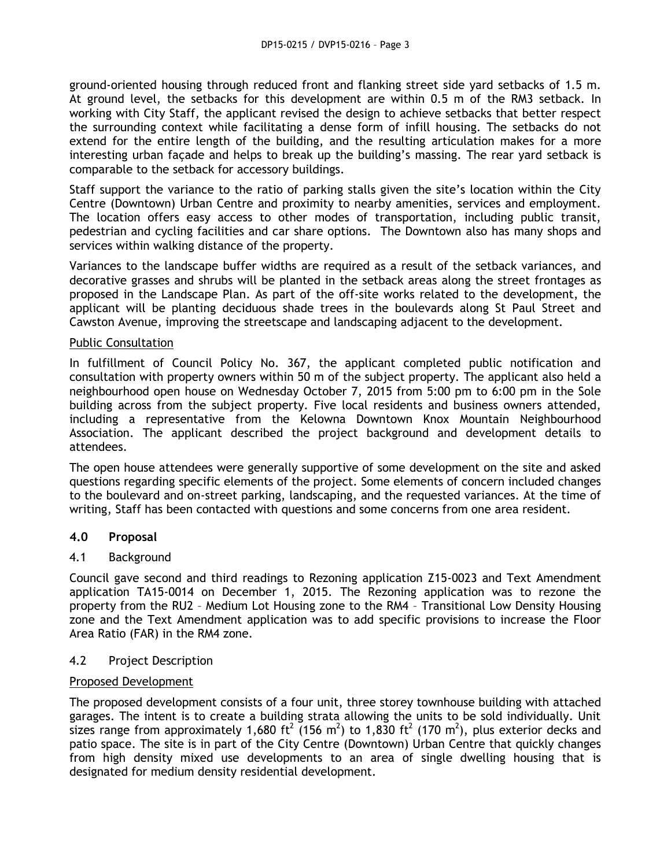ground-oriented housing through reduced front and flanking street side yard setbacks of 1.5 m. At ground level, the setbacks for this development are within 0.5 m of the RM3 setback. In working with City Staff, the applicant revised the design to achieve setbacks that better respect the surrounding context while facilitating a dense form of infill housing. The setbacks do not extend for the entire length of the building, and the resulting articulation makes for a more interesting urban façade and helps to break up the building's massing. The rear yard setback is comparable to the setback for accessory buildings.

Staff support the variance to the ratio of parking stalls given the site's location within the City Centre (Downtown) Urban Centre and proximity to nearby amenities, services and employment. The location offers easy access to other modes of transportation, including public transit, pedestrian and cycling facilities and car share options. The Downtown also has many shops and services within walking distance of the property.

Variances to the landscape buffer widths are required as a result of the setback variances, and decorative grasses and shrubs will be planted in the setback areas along the street frontages as proposed in the Landscape Plan. As part of the off-site works related to the development, the applicant will be planting deciduous shade trees in the boulevards along St Paul Street and Cawston Avenue, improving the streetscape and landscaping adjacent to the development.

# Public Consultation

In fulfillment of Council Policy No. 367, the applicant completed public notification and consultation with property owners within 50 m of the subject property. The applicant also held a neighbourhood open house on Wednesday October 7, 2015 from 5:00 pm to 6:00 pm in the Sole building across from the subject property. Five local residents and business owners attended, including a representative from the Kelowna Downtown Knox Mountain Neighbourhood Association. The applicant described the project background and development details to attendees.

The open house attendees were generally supportive of some development on the site and asked questions regarding specific elements of the project. Some elements of concern included changes to the boulevard and on-street parking, landscaping, and the requested variances. At the time of writing, Staff has been contacted with questions and some concerns from one area resident.

# **4.0 Proposal**

# 4.1 Background

Council gave second and third readings to Rezoning application Z15-0023 and Text Amendment application TA15-0014 on December 1, 2015. The Rezoning application was to rezone the property from the RU2 – Medium Lot Housing zone to the RM4 – Transitional Low Density Housing zone and the Text Amendment application was to add specific provisions to increase the Floor Area Ratio (FAR) in the RM4 zone.

# 4.2 Project Description

# Proposed Development

The proposed development consists of a four unit, three storey townhouse building with attached garages. The intent is to create a building strata allowing the units to be sold individually. Unit sizes range from approximately 1,680 ft<sup>2</sup> (156 m<sup>2</sup>) to 1,830 ft<sup>2</sup> (170 m<sup>2</sup>), plus exterior decks and patio space. The site is in part of the City Centre (Downtown) Urban Centre that quickly changes from high density mixed use developments to an area of single dwelling housing that is designated for medium density residential development.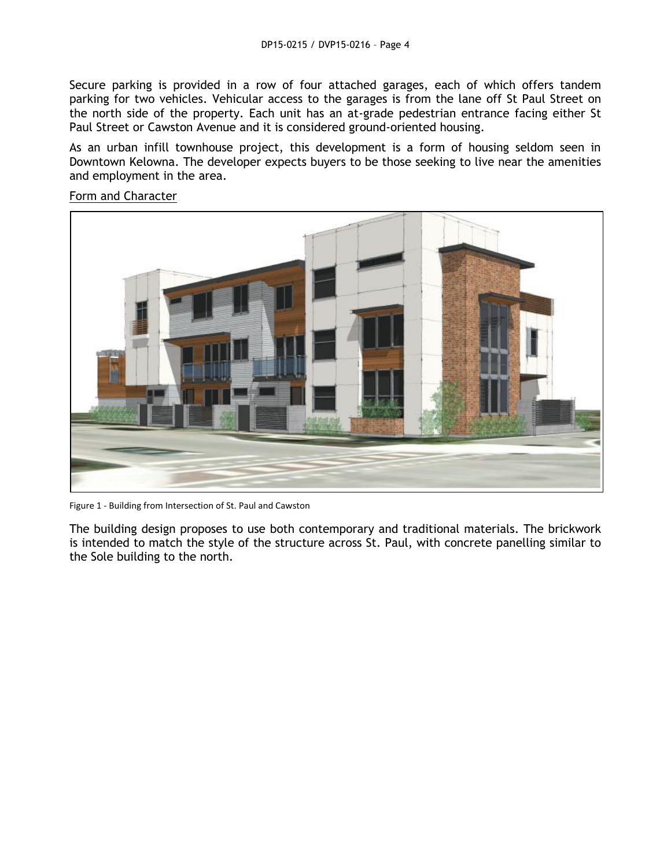Secure parking is provided in a row of four attached garages, each of which offers tandem parking for two vehicles. Vehicular access to the garages is from the lane off St Paul Street on the north side of the property. Each unit has an at-grade pedestrian entrance facing either St Paul Street or Cawston Avenue and it is considered ground-oriented housing.

As an urban infill townhouse project, this development is a form of housing seldom seen in Downtown Kelowna. The developer expects buyers to be those seeking to live near the amenities and employment in the area.



#### Form and Character

Figure 1 - Building from Intersection of St. Paul and Cawston

The building design proposes to use both contemporary and traditional materials. The brickwork is intended to match the style of the structure across St. Paul, with concrete panelling similar to the Sole building to the north.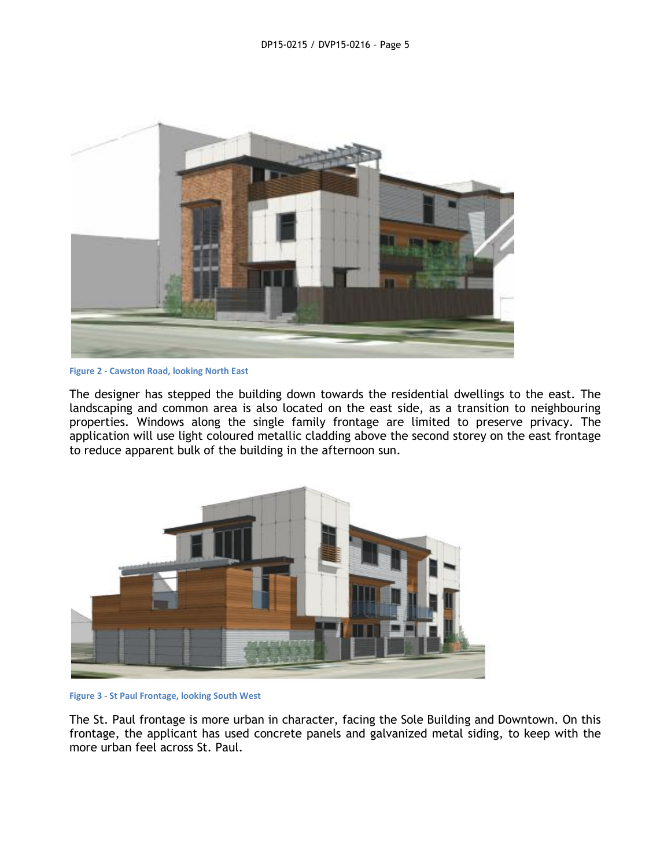

**Figure 2 - Cawston Road, looking North East**

The designer has stepped the building down towards the residential dwellings to the east. The landscaping and common area is also located on the east side, as a transition to neighbouring properties. Windows along the single family frontage are limited to preserve privacy. The application will use light coloured metallic cladding above the second storey on the east frontage to reduce apparent bulk of the building in the afternoon sun.



**Figure 3 - St Paul Frontage, looking South West**

The St. Paul frontage is more urban in character, facing the Sole Building and Downtown. On this frontage, the applicant has used concrete panels and galvanized metal siding, to keep with the more urban feel across St. Paul.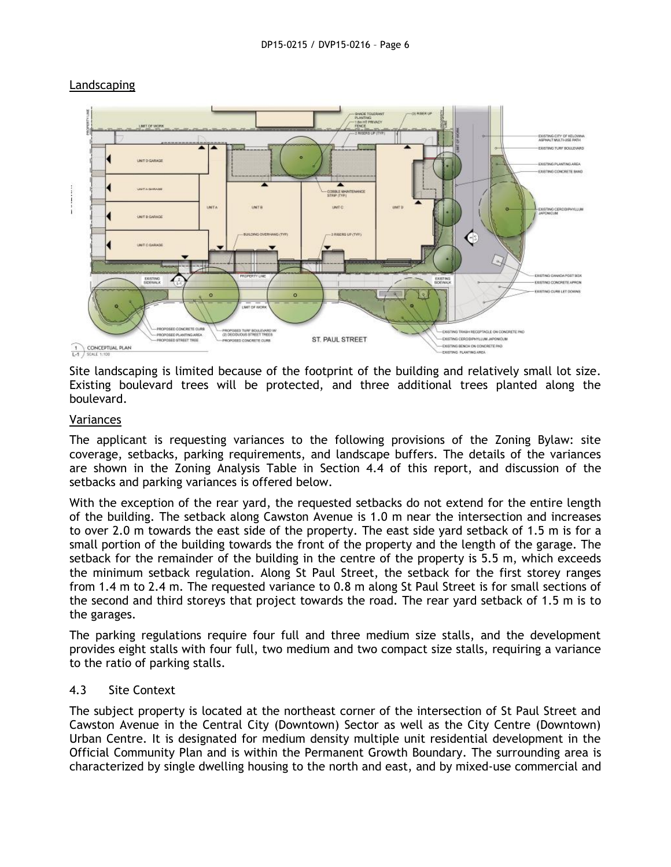

#### Landscaping

Site landscaping is limited because of the footprint of the building and relatively small lot size. Existing boulevard trees will be protected, and three additional trees planted along the boulevard.

#### Variances

The applicant is requesting variances to the following provisions of the Zoning Bylaw: site coverage, setbacks, parking requirements, and landscape buffers. The details of the variances are shown in the Zoning Analysis Table in Section 4.4 of this report, and discussion of the setbacks and parking variances is offered below.

With the exception of the rear yard, the requested setbacks do not extend for the entire length of the building. The setback along Cawston Avenue is 1.0 m near the intersection and increases to over 2.0 m towards the east side of the property. The east side yard setback of 1.5 m is for a small portion of the building towards the front of the property and the length of the garage. The setback for the remainder of the building in the centre of the property is 5.5 m, which exceeds the minimum setback regulation. Along St Paul Street, the setback for the first storey ranges from 1.4 m to 2.4 m. The requested variance to 0.8 m along St Paul Street is for small sections of the second and third storeys that project towards the road. The rear yard setback of 1.5 m is to the garages.

The parking regulations require four full and three medium size stalls, and the development provides eight stalls with four full, two medium and two compact size stalls, requiring a variance to the ratio of parking stalls.

#### 4.3 Site Context

The subject property is located at the northeast corner of the intersection of St Paul Street and Cawston Avenue in the Central City (Downtown) Sector as well as the City Centre (Downtown) Urban Centre. It is designated for medium density multiple unit residential development in the Official Community Plan and is within the Permanent Growth Boundary. The surrounding area is characterized by single dwelling housing to the north and east, and by mixed-use commercial and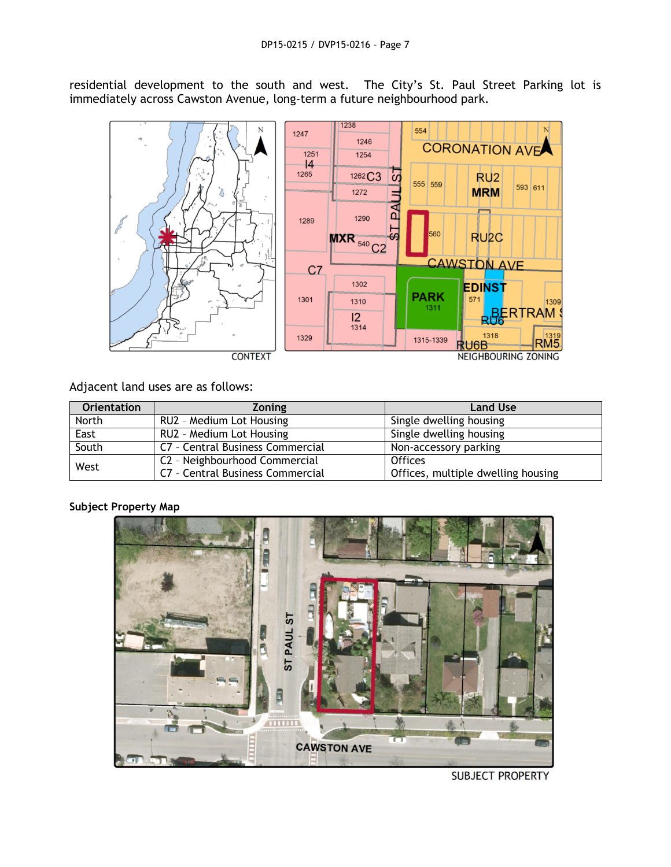residential development to the south and west. The City's St. Paul Street Parking lot is immediately across Cawston Avenue, long-term a future neighbourhood park.



## Adjacent land uses are as follows:

| <b>Orientation</b> | <b>Zoning</b>                    | <b>Land Use</b>                    |
|--------------------|----------------------------------|------------------------------------|
| North              | RU2 - Medium Lot Housing         | Single dwelling housing            |
| East               | RU2 - Medium Lot Housing         | Single dwelling housing            |
| South              | C7 - Central Business Commercial | Non-accessory parking              |
| West               | C2 - Neighbourhood Commercial    | <b>Offices</b>                     |
|                    | C7 - Central Business Commercial | Offices, multiple dwelling housing |

# **Subject Property Map**



**SUBJECT PROPERTY**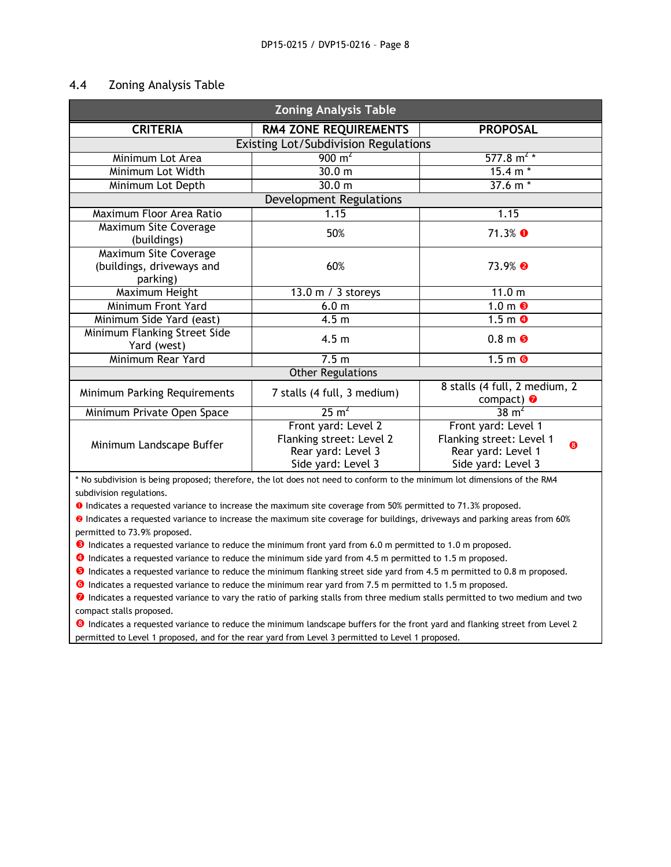#### 4.4 Zoning Analysis Table

| <b>Zoning Analysis Table</b>                |                              |                                                |  |  |
|---------------------------------------------|------------------------------|------------------------------------------------|--|--|
| <b>CRITERIA</b>                             | <b>RM4 ZONE REQUIREMENTS</b> | <b>PROPOSAL</b>                                |  |  |
| <b>Existing Lot/Subdivision Regulations</b> |                              |                                                |  |  |
| Minimum Lot Area                            | $900 \text{ m}^2$            | 577.8 m <sup>2</sup>                           |  |  |
| Minimum Lot Width                           | 30.0 m                       | $15.4 m*$                                      |  |  |
| Minimum Lot Depth                           | 30.0 <sub>m</sub>            | $37.6 m*$                                      |  |  |
| <b>Development Regulations</b>              |                              |                                                |  |  |
| Maximum Floor Area Ratio                    | 1.15                         | 1.15                                           |  |  |
| Maximum Site Coverage                       | 50%                          | 71.3% ❶                                        |  |  |
| (buildings)<br>Maximum Site Coverage        |                              |                                                |  |  |
| (buildings, driveways and                   | 60%                          | $73.9%$ 2                                      |  |  |
| parking)                                    |                              |                                                |  |  |
| Maximum Height                              | 13.0 m / 3 storeys           | 11.0 <sub>m</sub>                              |  |  |
| Minimum Front Yard                          | 6.0 <sub>m</sub>             | $1.0 \text{ m}$ <sup><math>\odot</math></sup>  |  |  |
| Minimum Side Yard (east)                    | 4.5 <sub>m</sub>             | $1.5 \text{ m}$ <sup><math>\theta</math></sup> |  |  |
| Minimum Flanking Street Side                |                              |                                                |  |  |
| Yard (west)                                 | 4.5 <sub>m</sub>             | $0.8m$ 6                                       |  |  |
| Minimum Rear Yard                           | 7.5 <sub>m</sub>             | $1.5m$ 6                                       |  |  |
| <b>Other Regulations</b>                    |                              |                                                |  |  |
| Minimum Parking Requirements                | 7 stalls (4 full, 3 medium)  | 8 stalls (4 full, 2 medium, 2<br>compact) @    |  |  |
| Minimum Private Open Space                  | 25 m <sup>2</sup>            | $38 \text{ m}^2$                               |  |  |
|                                             | Front yard: Level 2          | Front yard: Level 1                            |  |  |
| Minimum Landscape Buffer                    | Flanking street: Level 2     | Flanking street: Level 1<br>❸                  |  |  |
|                                             | Rear yard: Level 3           | Rear yard: Level 1                             |  |  |
|                                             | Side yard: Level 3           | Side yard: Level 3                             |  |  |

\* No subdivision is being proposed; therefore, the lot does not need to conform to the minimum lot dimensions of the RM4 subdivision regulations.

**O** Indicates a requested variance to increase the maximum site coverage from 50% permitted to 71.3% proposed.

<sup>0</sup> Indicates a requested variance to increase the maximum site coverage for buildings, driveways and parking areas from 60% permitted to 73.9% proposed.

 $\Theta$  Indicates a requested variance to reduce the minimum front yard from 6.0 m permitted to 1.0 m proposed.

**O** Indicates a requested variance to reduce the minimum side yard from 4.5 m permitted to 1.5 m proposed.

 $\Theta$  Indicates a requested variance to reduce the minimum flanking street side yard from 4.5 m permitted to 0.8 m proposed.

**O** Indicates a requested variance to reduce the minimum rear yard from 7.5 m permitted to 1.5 m proposed.

**O** Indicates a requested variance to vary the ratio of parking stalls from three medium stalls permitted to two medium and two compact stalls proposed.

<sup>3</sup> Indicates a requested variance to reduce the minimum landscape buffers for the front yard and flanking street from Level 2 permitted to Level 1 proposed, and for the rear yard from Level 3 permitted to Level 1 proposed.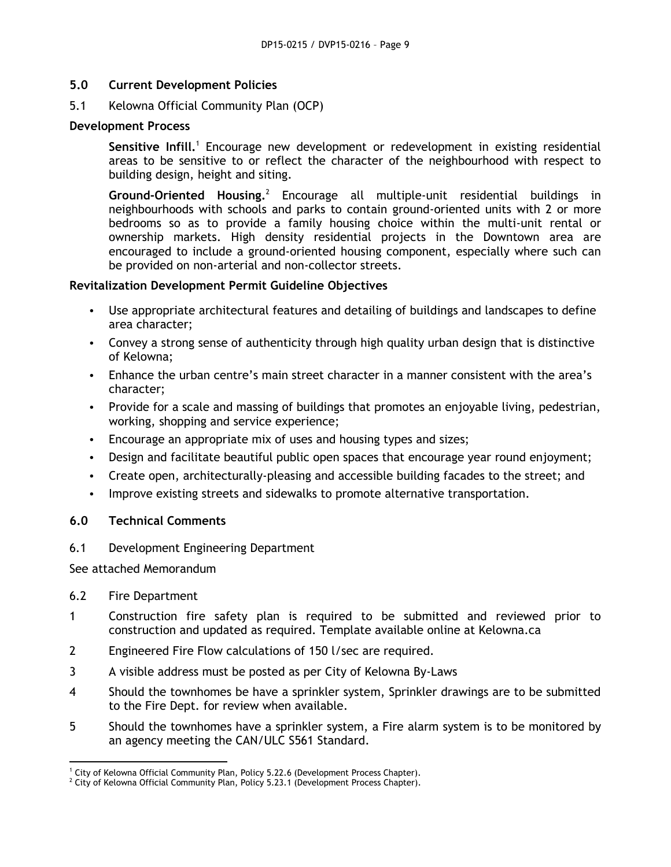# **5.0 Current Development Policies**

5.1 Kelowna Official Community Plan (OCP)

#### **Development Process**

Sensitive Infill.<sup>1</sup> Encourage new development or redevelopment in existing residential areas to be sensitive to or reflect the character of the neighbourhood with respect to building design, height and siting.

Ground-Oriented Housing.<sup>2</sup> Encourage all multiple-unit residential buildings in neighbourhoods with schools and parks to contain ground-oriented units with 2 or more bedrooms so as to provide a family housing choice within the multi-unit rental or ownership markets. High density residential projects in the Downtown area are encouraged to include a ground-oriented housing component, especially where such can be provided on non-arterial and non-collector streets.

#### **Revitalization Development Permit Guideline Objectives**

- Use appropriate architectural features and detailing of buildings and landscapes to define area character;
- Convey a strong sense of authenticity through high quality urban design that is distinctive of Kelowna;
- Enhance the urban centre's main street character in a manner consistent with the area's character;
- Provide for a scale and massing of buildings that promotes an enjoyable living, pedestrian, working, shopping and service experience;
- Encourage an appropriate mix of uses and housing types and sizes;
- Design and facilitate beautiful public open spaces that encourage year round enjoyment;
- Create open, architecturally-pleasing and accessible building facades to the street; and
- Improve existing streets and sidewalks to promote alternative transportation.

# **6.0 Technical Comments**

6.1 Development Engineering Department

See attached Memorandum

#### 6.2 Fire Department

- 1 Construction fire safety plan is required to be submitted and reviewed prior to construction and updated as required. Template available online at Kelowna.ca
- 2 Engineered Fire Flow calculations of 150 l/sec are required.
- 3 A visible address must be posted as per City of Kelowna By-Laws
- 4 Should the townhomes be have a sprinkler system, Sprinkler drawings are to be submitted to the Fire Dept. for review when available.
- 5 Should the townhomes have a sprinkler system, a Fire alarm system is to be monitored by an agency meeting the CAN/ULC S561 Standard.

**<sup>.</sup>**  $1$  City of Kelowna Official Community Plan, Policy 5.22.6 (Development Process Chapter).

 $2$  City of Kelowna Official Community Plan, Policy 5.23.1 (Development Process Chapter).